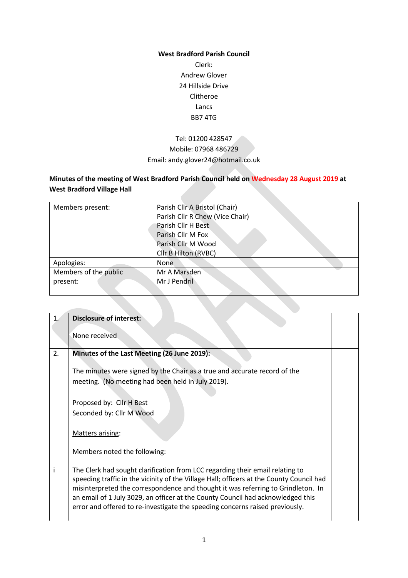### **West Bradford Parish Council**

Clerk: Andrew Glover 24 Hillside Drive Clitheroe Lancs BB7 4TG

# Tel: 01200 428547 Mobile: 07968 486729 Email: andy.glover24@hotmail.co.uk

# **Minutes of the meeting of West Bradford Parish Council held on Wednesday 28 August 2019 at West Bradford Village Hall**

| Members present:      | Parish Cllr A Bristol (Chair)   |
|-----------------------|---------------------------------|
|                       | Parish Cllr R Chew (Vice Chair) |
|                       | Parish Cllr H Best              |
|                       | Parish Cllr M Fox               |
|                       | Parish Cllr M Wood              |
|                       | Cllr B Hilton (RVBC)            |
| Apologies:            | <b>None</b>                     |
| Members of the public | Mr A Marsden                    |
| present:              | Mr J Pendril                    |
|                       |                                 |

| 1. |                                                                                          |  |
|----|------------------------------------------------------------------------------------------|--|
|    | <b>Disclosure of interest:</b>                                                           |  |
|    |                                                                                          |  |
|    | None received                                                                            |  |
| 2. | Minutes of the Last Meeting (26 June 2019):                                              |  |
|    |                                                                                          |  |
|    | The minutes were signed by the Chair as a true and accurate record of the                |  |
|    | meeting. (No meeting had been held in July 2019).                                        |  |
|    |                                                                                          |  |
|    |                                                                                          |  |
|    | Proposed by: Cllr H Best                                                                 |  |
|    | Seconded by: Cllr M Wood                                                                 |  |
|    |                                                                                          |  |
|    | Matters arising:                                                                         |  |
|    |                                                                                          |  |
|    | Members noted the following:                                                             |  |
|    |                                                                                          |  |
| i. | The Clerk had sought clarification from LCC regarding their email relating to            |  |
|    | speeding traffic in the vicinity of the Village Hall; officers at the County Council had |  |
|    | misinterpreted the correspondence and thought it was referring to Grindleton. In         |  |
|    | an email of 1 July 3029, an officer at the County Council had acknowledged this          |  |
|    | error and offered to re-investigate the speeding concerns raised previously.             |  |
|    |                                                                                          |  |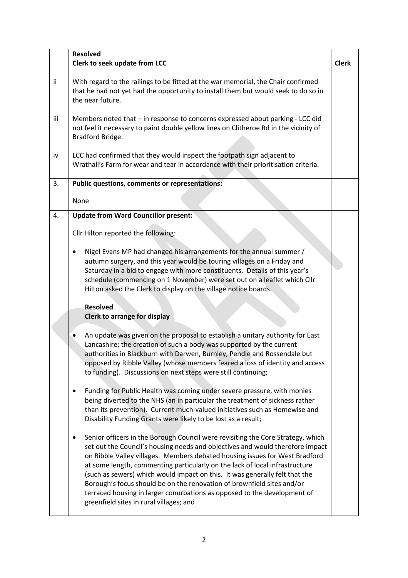|     | <b>Resolved</b><br>Clerk to seek update from LCC                                                                                                                                                                                                                                                                                                                                                                                                                                                                                                                                                               | <b>Clerk</b> |
|-----|----------------------------------------------------------------------------------------------------------------------------------------------------------------------------------------------------------------------------------------------------------------------------------------------------------------------------------------------------------------------------------------------------------------------------------------------------------------------------------------------------------------------------------------------------------------------------------------------------------------|--------------|
| ij. | With regard to the railings to be fitted at the war memorial, the Chair confirmed<br>that he had not yet had the opportunity to install them but would seek to do so in<br>the near future.                                                                                                                                                                                                                                                                                                                                                                                                                    |              |
| iii | Members noted that - in response to concerns expressed about parking - LCC did<br>not feel it necessary to paint double yellow lines on Clitheroe Rd in the vicinity of<br>Bradford Bridge.                                                                                                                                                                                                                                                                                                                                                                                                                    |              |
| iv  | LCC had confirmed that they would inspect the footpath sign adjacent to<br>Wrathall's Farm for wear and tear in accordance with their prioritisation criteria.                                                                                                                                                                                                                                                                                                                                                                                                                                                 |              |
| 3.  | <b>Public questions, comments or representations:</b>                                                                                                                                                                                                                                                                                                                                                                                                                                                                                                                                                          |              |
|     | None                                                                                                                                                                                                                                                                                                                                                                                                                                                                                                                                                                                                           |              |
| 4.  | <b>Update from Ward Councillor present:</b>                                                                                                                                                                                                                                                                                                                                                                                                                                                                                                                                                                    |              |
|     | Cllr Hilton reported the following:                                                                                                                                                                                                                                                                                                                                                                                                                                                                                                                                                                            |              |
|     | Nigel Evans MP had changed his arrangements for the annual summer /<br>٠<br>autumn surgery, and this year would be touring villages on a Friday and<br>Saturday in a bid to engage with more constituents. Details of this year's<br>schedule (commencing on 1 November) were set out on a leaflet which Cllr<br>Hilton asked the Clerk to display on the village notice boards.                                                                                                                                                                                                                               |              |
|     | <b>Resolved</b><br><b>Clerk to arrange for display</b>                                                                                                                                                                                                                                                                                                                                                                                                                                                                                                                                                         |              |
|     | An update was given on the proposal to establish a unitary authority for East<br>Lancashire; the creation of such a body was supported by the current<br>authorities in Blackburn with Darwen, Burnley, Pendle and Rossendale but<br>opposed by Ribble Valley (whose members feared a loss of identity and access<br>to funding). Discussions on next steps were still continuing;                                                                                                                                                                                                                             |              |
|     | Funding for Public Health was coming under severe pressure, with monies<br>٠<br>being diverted to the NHS (an in particular the treatment of sickness rather<br>than its prevention). Current much-valued initiatives such as Homewise and<br>Disability Funding Grants were likely to be lost as a result;                                                                                                                                                                                                                                                                                                    |              |
|     | Senior officers in the Borough Council were revisiting the Core Strategy, which<br>set out the Council's housing needs and objectives and would therefore impact<br>on Ribble Valley villages. Members debated housing issues for West Bradford<br>at some length, commenting particularly on the lack of local infrastructure<br>(such as sewers) which would impact on this. It was generally felt that the<br>Borough's focus should be on the renovation of brownfield sites and/or<br>terraced housing in larger conurbations as opposed to the development of<br>greenfield sites in rural villages; and |              |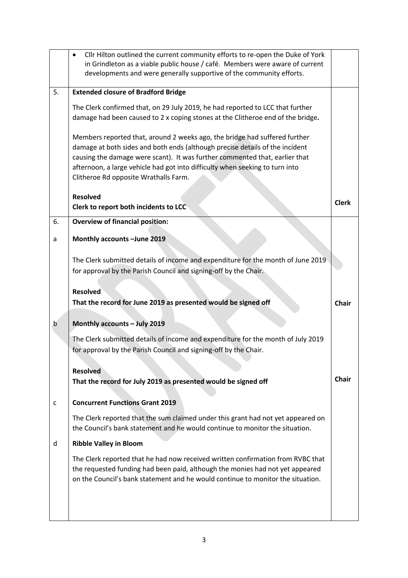|    | Cllr Hilton outlined the current community efforts to re-open the Duke of York<br>$\bullet$<br>in Grindleton as a viable public house / café. Members were aware of current<br>developments and were generally supportive of the community efforts.                                                                                                                |              |  |
|----|--------------------------------------------------------------------------------------------------------------------------------------------------------------------------------------------------------------------------------------------------------------------------------------------------------------------------------------------------------------------|--------------|--|
| 5. | <b>Extended closure of Bradford Bridge</b>                                                                                                                                                                                                                                                                                                                         |              |  |
|    | The Clerk confirmed that, on 29 July 2019, he had reported to LCC that further<br>damage had been caused to 2 x coping stones at the Clitheroe end of the bridge.                                                                                                                                                                                                  |              |  |
|    | Members reported that, around 2 weeks ago, the bridge had suffered further<br>damage at both sides and both ends (although precise details of the incident<br>causing the damage were scant). It was further commented that, earlier that<br>afternoon, a large vehicle had got into difficulty when seeking to turn into<br>Clitheroe Rd opposite Wrathalls Farm. |              |  |
|    | <b>Resolved</b><br>Clerk to report both incidents to LCC                                                                                                                                                                                                                                                                                                           | <b>Clerk</b> |  |
| 6. | <b>Overview of financial position:</b>                                                                                                                                                                                                                                                                                                                             |              |  |
| a  | Monthly accounts -June 2019                                                                                                                                                                                                                                                                                                                                        |              |  |
|    | The Clerk submitted details of income and expenditure for the month of June 2019<br>for approval by the Parish Council and signing-off by the Chair.                                                                                                                                                                                                               |              |  |
|    | <b>Resolved</b><br>That the record for June 2019 as presented would be signed off                                                                                                                                                                                                                                                                                  | <b>Chair</b> |  |
| b  | Monthly accounts - July 2019                                                                                                                                                                                                                                                                                                                                       |              |  |
|    | The Clerk submitted details of income and expenditure for the month of July 2019<br>for approval by the Parish Council and signing-off by the Chair.                                                                                                                                                                                                               |              |  |
|    | <b>Resolved</b>                                                                                                                                                                                                                                                                                                                                                    |              |  |
|    | That the record for July 2019 as presented would be signed off                                                                                                                                                                                                                                                                                                     | <b>Chair</b> |  |
| c  | <b>Concurrent Functions Grant 2019</b>                                                                                                                                                                                                                                                                                                                             |              |  |
|    | The Clerk reported that the sum claimed under this grant had not yet appeared on<br>the Council's bank statement and he would continue to monitor the situation.                                                                                                                                                                                                   |              |  |
| d  | <b>Ribble Valley in Bloom</b>                                                                                                                                                                                                                                                                                                                                      |              |  |
|    | The Clerk reported that he had now received written confirmation from RVBC that<br>the requested funding had been paid, although the monies had not yet appeared<br>on the Council's bank statement and he would continue to monitor the situation.                                                                                                                |              |  |
|    |                                                                                                                                                                                                                                                                                                                                                                    |              |  |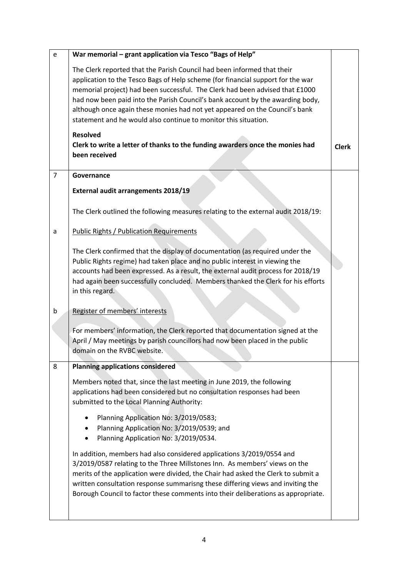| e              | War memorial - grant application via Tesco "Bags of Help"                                                                                                                                                                                                                                                                                                                                                                                                                      |              |
|----------------|--------------------------------------------------------------------------------------------------------------------------------------------------------------------------------------------------------------------------------------------------------------------------------------------------------------------------------------------------------------------------------------------------------------------------------------------------------------------------------|--------------|
|                | The Clerk reported that the Parish Council had been informed that their<br>application to the Tesco Bags of Help scheme (for financial support for the war<br>memorial project) had been successful. The Clerk had been advised that £1000<br>had now been paid into the Parish Council's bank account by the awarding body,<br>although once again these monies had not yet appeared on the Council's bank<br>statement and he would also continue to monitor this situation. |              |
|                | <b>Resolved</b><br>Clerk to write a letter of thanks to the funding awarders once the monies had<br>been received                                                                                                                                                                                                                                                                                                                                                              | <b>Clerk</b> |
| $\overline{7}$ | Governance                                                                                                                                                                                                                                                                                                                                                                                                                                                                     |              |
|                | External audit arrangements 2018/19                                                                                                                                                                                                                                                                                                                                                                                                                                            |              |
|                | The Clerk outlined the following measures relating to the external audit 2018/19:                                                                                                                                                                                                                                                                                                                                                                                              |              |
| a              | <b>Public Rights / Publication Requirements</b>                                                                                                                                                                                                                                                                                                                                                                                                                                |              |
|                | The Clerk confirmed that the display of documentation (as required under the<br>Public Rights regime) had taken place and no public interest in viewing the<br>accounts had been expressed. As a result, the external audit process for 2018/19<br>had again been successfully concluded. Members thanked the Clerk for his efforts<br>in this regard.                                                                                                                         |              |
| b              | Register of members' interests                                                                                                                                                                                                                                                                                                                                                                                                                                                 |              |
|                | For members' information, the Clerk reported that documentation signed at the<br>April / May meetings by parish councillors had now been placed in the public<br>domain on the RVBC website.                                                                                                                                                                                                                                                                                   |              |
| 8              | <b>Planning applications considered</b>                                                                                                                                                                                                                                                                                                                                                                                                                                        |              |
|                | Members noted that, since the last meeting in June 2019, the following<br>applications had been considered but no consultation responses had been<br>submitted to the Local Planning Authority:                                                                                                                                                                                                                                                                                |              |
|                | Planning Application No: 3/2019/0583;<br>Planning Application No: 3/2019/0539; and<br>Planning Application No: 3/2019/0534.                                                                                                                                                                                                                                                                                                                                                    |              |
|                | In addition, members had also considered applications 3/2019/0554 and<br>3/2019/0587 relating to the Three Millstones Inn. As members' views on the<br>merits of the application were divided, the Chair had asked the Clerk to submit a<br>written consultation response summarisng these differing views and inviting the<br>Borough Council to factor these comments into their deliberations as appropriate.                                                               |              |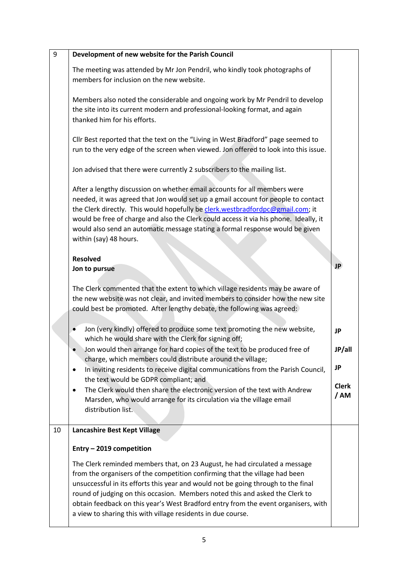| 9  | Development of new website for the Parish Council                                                                                                                                                                                                                                                                                                                                                                                                                                    |                     |
|----|--------------------------------------------------------------------------------------------------------------------------------------------------------------------------------------------------------------------------------------------------------------------------------------------------------------------------------------------------------------------------------------------------------------------------------------------------------------------------------------|---------------------|
|    | The meeting was attended by Mr Jon Pendril, who kindly took photographs of<br>members for inclusion on the new website.                                                                                                                                                                                                                                                                                                                                                              |                     |
|    | Members also noted the considerable and ongoing work by Mr Pendril to develop<br>the site into its current modern and professional-looking format, and again<br>thanked him for his efforts.                                                                                                                                                                                                                                                                                         |                     |
|    | Cllr Best reported that the text on the "Living in West Bradford" page seemed to<br>run to the very edge of the screen when viewed. Jon offered to look into this issue.                                                                                                                                                                                                                                                                                                             |                     |
|    | Jon advised that there were currently 2 subscribers to the mailing list.                                                                                                                                                                                                                                                                                                                                                                                                             |                     |
|    | After a lengthy discussion on whether email accounts for all members were<br>needed, it was agreed that Jon would set up a gmail account for people to contact<br>the Clerk directly. This would hopefully be clerk.westbradfordpc@gmail.com; it<br>would be free of charge and also the Clerk could access it via his phone. Ideally, it<br>would also send an automatic message stating a formal response would be given<br>within (say) 48 hours.                                 |                     |
|    | <b>Resolved</b>                                                                                                                                                                                                                                                                                                                                                                                                                                                                      |                     |
|    | Jon to pursue                                                                                                                                                                                                                                                                                                                                                                                                                                                                        | <b>JP</b>           |
|    | The Clerk commented that the extent to which village residents may be aware of<br>the new website was not clear, and invited members to consider how the new site<br>could best be promoted. After lengthy debate, the following was agreed:                                                                                                                                                                                                                                         |                     |
|    | Jon (very kindly) offered to produce some text promoting the new website,<br>which he would share with the Clerk for signing off;                                                                                                                                                                                                                                                                                                                                                    | <b>JP</b>           |
|    | Jon would then arrange for hard copies of the text to be produced free of<br>charge, which members could distribute around the village;                                                                                                                                                                                                                                                                                                                                              | JP/all              |
|    | In inviting residents to receive digital communications from the Parish Council,<br>٠<br>the text would be GDPR compliant; and                                                                                                                                                                                                                                                                                                                                                       | <b>JP</b>           |
|    | The Clerk would then share the electronic version of the text with Andrew<br>Marsden, who would arrange for its circulation via the village email<br>distribution list.                                                                                                                                                                                                                                                                                                              | <b>Clerk</b><br>/AM |
| 10 | Lancashire Best Kept Village                                                                                                                                                                                                                                                                                                                                                                                                                                                         |                     |
|    | Entry - 2019 competition                                                                                                                                                                                                                                                                                                                                                                                                                                                             |                     |
|    | The Clerk reminded members that, on 23 August, he had circulated a message<br>from the organisers of the competition confirming that the village had been<br>unsuccessful in its efforts this year and would not be going through to the final<br>round of judging on this occasion. Members noted this and asked the Clerk to<br>obtain feedback on this year's West Bradford entry from the event organisers, with<br>a view to sharing this with village residents in due course. |                     |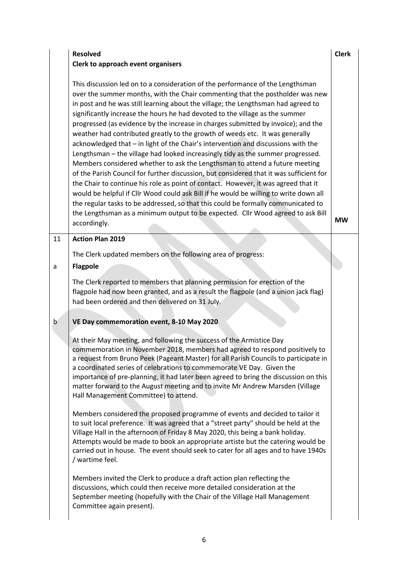# **Resolved Clerk to approach event organisers**

This discussion led on to a consideration of the performance of the Lengthsman over the summer months, with the Chair commenting that the postholder was new in post and he was still learning about the village; the Lengthsman had agreed to significantly increase the hours he had devoted to the village as the summer progressed (as evidence by the increase in charges submitted by invoice); and the weather had contributed greatly to the growth of weeds etc. It was generally acknowledged that – in light of the Chair's intervention and discussions with the Lengthsman – the village had looked increasingly tidy as the summer progressed. Members considered whether to ask the Lengthsman to attend a future meeting of the Parish Council for further discussion, but considered that it was sufficient for the Chair to continue his role as point of contact. However, it was agreed that it would be helpful if Cllr Wood could ask Bill if he would be willing to write down all the regular tasks to be addressed, so that this could be formally communicated to the Lengthsman as a minimum output to be expected. Cllr Wood agreed to ask Bill accordingly.

# 11 **Action Plan 2019**

The Clerk updated members on the following area of progress:

# a **Flagpole**

The Clerk reported to members that planning permission for erection of the flagpole had now been granted, and as a result the flagpole (and a union jack flag) had been ordered and then delivered on 31 July.

# b **VE Day commemoration event, 8-10 May 2020**

At their May meeting, and following the success of the Armistice Day commemoration in November 2018, members had agreed to respond positively to a request from Bruno Peek (Pageant Master) for all Parish Councils to participate in a coordinated series of celebrations to commemorate VE Day. Given the importance of pre-planning, it had later been agreed to bring the discussion on this matter forward to the August meeting and to invite Mr Andrew Marsden (Village Hall Management Committee) to attend.

Members considered the proposed programme of events and decided to tailor it to suit local preference. It was agreed that a "street party" should be held at the Village Hall in the afternoon of Friday 8 May 2020, this being a bank holiday. Attempts would be made to book an appropriate artiste but the catering would be carried out in house. The event should seek to cater for all ages and to have 1940s / wartime feel.

Members invited the Clerk to produce a draft action plan reflecting the discussions, which could then receive more detailed consideration at the September meeting (hopefully with the Chair of the Village Hall Management Committee again present).

#### **Clerk**

**MW**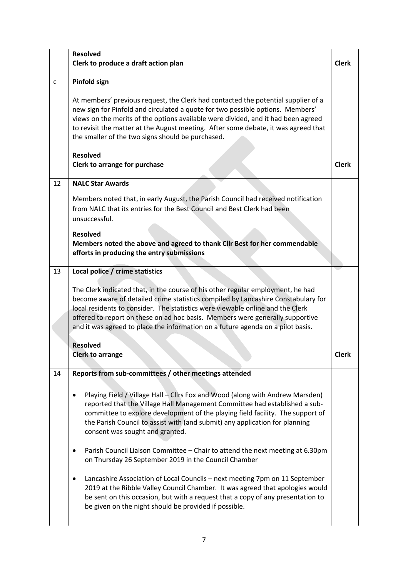|    | <b>Resolved</b><br>Clerk to produce a draft action plan                                                                                                                                                                                                                                                                                                                                                                    | <b>Clerk</b> |
|----|----------------------------------------------------------------------------------------------------------------------------------------------------------------------------------------------------------------------------------------------------------------------------------------------------------------------------------------------------------------------------------------------------------------------------|--------------|
| c  | <b>Pinfold sign</b>                                                                                                                                                                                                                                                                                                                                                                                                        |              |
|    | At members' previous request, the Clerk had contacted the potential supplier of a<br>new sign for Pinfold and circulated a quote for two possible options. Members'<br>views on the merits of the options available were divided, and it had been agreed<br>to revisit the matter at the August meeting. After some debate, it was agreed that<br>the smaller of the two signs should be purchased.                        |              |
|    | <b>Resolved</b><br>Clerk to arrange for purchase                                                                                                                                                                                                                                                                                                                                                                           | <b>Clerk</b> |
| 12 | <b>NALC Star Awards</b>                                                                                                                                                                                                                                                                                                                                                                                                    |              |
|    | Members noted that, in early August, the Parish Council had received notification<br>from NALC that its entries for the Best Council and Best Clerk had been<br>unsuccessful.                                                                                                                                                                                                                                              |              |
|    | <b>Resolved</b>                                                                                                                                                                                                                                                                                                                                                                                                            |              |
|    | Members noted the above and agreed to thank Cllr Best for her commendable<br>efforts in producing the entry submissions                                                                                                                                                                                                                                                                                                    |              |
| 13 | Local police / crime statistics                                                                                                                                                                                                                                                                                                                                                                                            |              |
|    | The Clerk indicated that, in the course of his other regular employment, he had<br>become aware of detailed crime statistics compiled by Lancashire Constabulary for<br>local residents to consider. The statistics were viewable online and the Clerk<br>offered to report on these on ad hoc basis. Members were generally supportive<br>and it was agreed to place the information on a future agenda on a pilot basis. |              |
|    | <b>Resolved</b>                                                                                                                                                                                                                                                                                                                                                                                                            |              |
|    | <b>Clerk to arrange</b>                                                                                                                                                                                                                                                                                                                                                                                                    | <b>Clerk</b> |
| 14 | Reports from sub-committees / other meetings attended                                                                                                                                                                                                                                                                                                                                                                      |              |
|    | Playing Field / Village Hall - Cllrs Fox and Wood (along with Andrew Marsden)<br>٠<br>reported that the Village Hall Management Committee had established a sub-<br>committee to explore development of the playing field facility. The support of<br>the Parish Council to assist with (and submit) any application for planning<br>consent was sought and granted.                                                       |              |
|    | Parish Council Liaison Committee - Chair to attend the next meeting at 6.30pm<br>on Thursday 26 September 2019 in the Council Chamber                                                                                                                                                                                                                                                                                      |              |
|    | Lancashire Association of Local Councils - next meeting 7pm on 11 September<br>٠<br>2019 at the Ribble Valley Council Chamber. It was agreed that apologies would<br>be sent on this occasion, but with a request that a copy of any presentation to<br>be given on the night should be provided if possible.                                                                                                              |              |
|    |                                                                                                                                                                                                                                                                                                                                                                                                                            |              |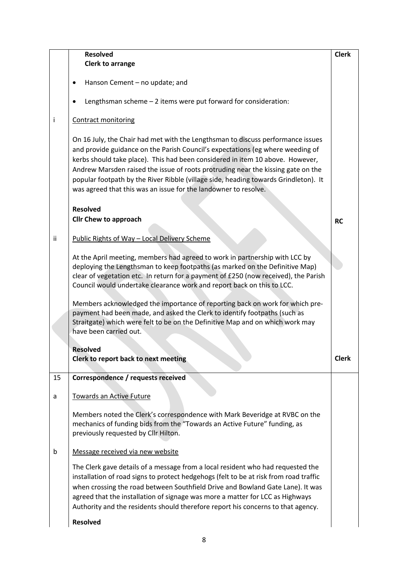|    | <b>Resolved</b>                                                                                                                                                                                                                                                                                                                                                                                                                                                                                  | <b>Clerk</b> |
|----|--------------------------------------------------------------------------------------------------------------------------------------------------------------------------------------------------------------------------------------------------------------------------------------------------------------------------------------------------------------------------------------------------------------------------------------------------------------------------------------------------|--------------|
|    | <b>Clerk to arrange</b>                                                                                                                                                                                                                                                                                                                                                                                                                                                                          |              |
|    | Hanson Cement - no update; and                                                                                                                                                                                                                                                                                                                                                                                                                                                                   |              |
|    | Lengthsman scheme - 2 items were put forward for consideration:                                                                                                                                                                                                                                                                                                                                                                                                                                  |              |
| İ  | <b>Contract monitoring</b>                                                                                                                                                                                                                                                                                                                                                                                                                                                                       |              |
|    | On 16 July, the Chair had met with the Lengthsman to discuss performance issues<br>and provide guidance on the Parish Council's expectations (eg where weeding of<br>kerbs should take place). This had been considered in item 10 above. However,<br>Andrew Marsden raised the issue of roots protruding near the kissing gate on the<br>popular footpath by the River Ribble (village side, heading towards Grindleton). It<br>was agreed that this was an issue for the landowner to resolve. |              |
|    | <b>Resolved</b><br><b>Cllr Chew to approach</b>                                                                                                                                                                                                                                                                                                                                                                                                                                                  | <b>RC</b>    |
| ii | Public Rights of Way - Local Delivery Scheme                                                                                                                                                                                                                                                                                                                                                                                                                                                     |              |
|    | At the April meeting, members had agreed to work in partnership with LCC by<br>deploying the Lengthsman to keep footpaths (as marked on the Definitive Map)<br>clear of vegetation etc. In return for a payment of £250 (now received), the Parish<br>Council would undertake clearance work and report back on this to LCC.                                                                                                                                                                     |              |
|    | Members acknowledged the importance of reporting back on work for which pre-<br>payment had been made, and asked the Clerk to identify footpaths (such as<br>Straitgate) which were felt to be on the Definitive Map and on which work may<br>have been carried out.                                                                                                                                                                                                                             |              |
|    | <b>Resolved</b>                                                                                                                                                                                                                                                                                                                                                                                                                                                                                  |              |
|    | Clerk to report back to next meeting                                                                                                                                                                                                                                                                                                                                                                                                                                                             | <b>Clerk</b> |
| 15 | Correspondence / requests received                                                                                                                                                                                                                                                                                                                                                                                                                                                               |              |
| a  | <b>Towards an Active Future</b>                                                                                                                                                                                                                                                                                                                                                                                                                                                                  |              |
|    | Members noted the Clerk's correspondence with Mark Beveridge at RVBC on the<br>mechanics of funding bids from the "Towards an Active Future" funding, as<br>previously requested by Cllr Hilton.                                                                                                                                                                                                                                                                                                 |              |
| b  | Message received via new website                                                                                                                                                                                                                                                                                                                                                                                                                                                                 |              |
|    | The Clerk gave details of a message from a local resident who had requested the<br>installation of road signs to protect hedgehogs (felt to be at risk from road traffic<br>when crossing the road between Southfield Drive and Bowland Gate Lane). It was<br>agreed that the installation of signage was more a matter for LCC as Highways<br>Authority and the residents should therefore report his concerns to that agency.                                                                  |              |
|    | <b>Resolved</b>                                                                                                                                                                                                                                                                                                                                                                                                                                                                                  |              |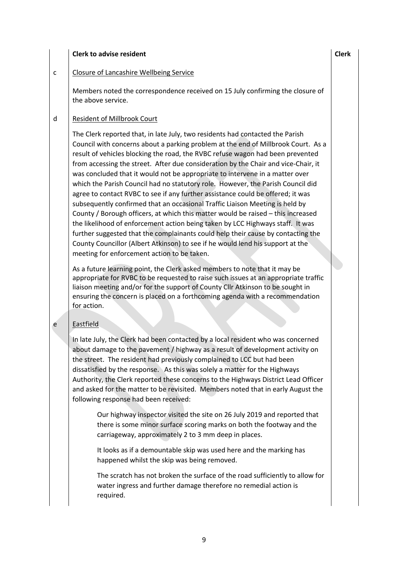#### **Clerk to advise resident contract to a contract of the clerk** clerk clerk clerk clerk

# $c$  | Closure of Lancashire Wellbeing Service

Members noted the correspondence received on 15 July confirming the closure of the above service.

# d Resident of Millbrook Court

The Clerk reported that, in late July, two residents had contacted the Parish Council with concerns about a parking problem at the end of Millbrook Court. As a result of vehicles blocking the road, the RVBC refuse wagon had been prevented from accessing the street. After due consideration by the Chair and vice-Chair, it was concluded that it would not be appropriate to intervene in a matter over which the Parish Council had no statutory role. However, the Parish Council did agree to contact RVBC to see if any further assistance could be offered; it was subsequently confirmed that an occasional Traffic Liaison Meeting is held by County / Borough officers, at which this matter would be raised – this increased the likelihood of enforcement action being taken by LCC Highways staff. It was further suggested that the complainants could help their cause by contacting the County Councillor (Albert Atkinson) to see if he would lend his support at the meeting for enforcement action to be taken.

As a future learning point, the Clerk asked members to note that it may be appropriate for RVBC to be requested to raise such issues at an appropriate traffic liaison meeting and/or for the support of County Cllr Atkinson to be sought in ensuring the concern is placed on a forthcoming agenda with a recommendation for action.

# e Eastfield

In late July, the Clerk had been contacted by a local resident who was concerned about damage to the pavement / highway as a result of development activity on the street. The resident had previously complained to LCC but had been dissatisfied by the response. As this was solely a matter for the Highways Authority, the Clerk reported these concerns to the Highways District Lead Officer and asked for the matter to be revisited. Members noted that in early August the following response had been received:

Our highway inspector visited the site on 26 July 2019 and reported that there is some minor surface scoring marks on both the footway and the carriageway, approximately 2 to 3 mm deep in places.

It looks as if a demountable skip was used here and the marking has happened whilst the skip was being removed.

The scratch has not broken the surface of the road sufficiently to allow for water ingress and further damage therefore no remedial action is required.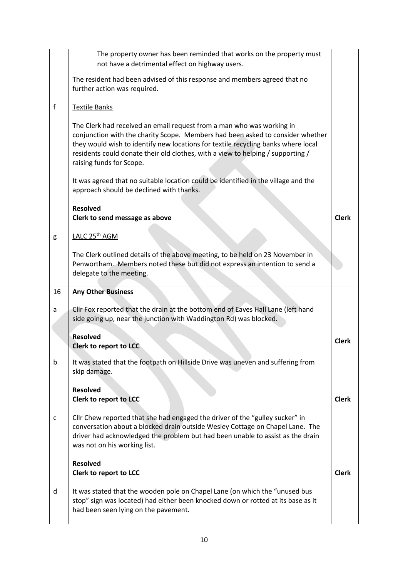|    | The property owner has been reminded that works on the property must<br>not have a detrimental effect on highway users.                                                                                                                                                                                                                                     |              |
|----|-------------------------------------------------------------------------------------------------------------------------------------------------------------------------------------------------------------------------------------------------------------------------------------------------------------------------------------------------------------|--------------|
|    | The resident had been advised of this response and members agreed that no<br>further action was required.                                                                                                                                                                                                                                                   |              |
| f  | Textile Banks                                                                                                                                                                                                                                                                                                                                               |              |
|    | The Clerk had received an email request from a man who was working in<br>conjunction with the charity Scope. Members had been asked to consider whether<br>they would wish to identify new locations for textile recycling banks where local<br>residents could donate their old clothes, with a view to helping / supporting /<br>raising funds for Scope. |              |
|    | It was agreed that no suitable location could be identified in the village and the<br>approach should be declined with thanks.                                                                                                                                                                                                                              |              |
|    | <b>Resolved</b><br>Clerk to send message as above                                                                                                                                                                                                                                                                                                           | <b>Clerk</b> |
| g  | LALC 25 <sup>th</sup> AGM                                                                                                                                                                                                                                                                                                                                   |              |
|    | The Clerk outlined details of the above meeting, to be held on 23 November in<br>Penwortham. Members noted these but did not express an intention to send a<br>delegate to the meeting.                                                                                                                                                                     |              |
| 16 | <b>Any Other Business</b>                                                                                                                                                                                                                                                                                                                                   |              |
|    |                                                                                                                                                                                                                                                                                                                                                             |              |
| a  | Cllr Fox reported that the drain at the bottom end of Eaves Hall Lane (left hand<br>side going up, near the junction with Waddington Rd) was blocked.                                                                                                                                                                                                       |              |
|    | <b>Resolved</b><br>Clerk to report to LCC                                                                                                                                                                                                                                                                                                                   | <b>Clerk</b> |
| b  | It was stated that the footpath on Hillside Drive was uneven and suffering from<br>skip damage.                                                                                                                                                                                                                                                             |              |
|    | <b>Resolved</b><br>Clerk to report to LCC                                                                                                                                                                                                                                                                                                                   | <b>Clerk</b> |
| c  | Cllr Chew reported that she had engaged the driver of the "gulley sucker" in<br>conversation about a blocked drain outside Wesley Cottage on Chapel Lane. The<br>driver had acknowledged the problem but had been unable to assist as the drain<br>was not on his working list.                                                                             |              |
|    | <b>Resolved</b><br>Clerk to report to LCC                                                                                                                                                                                                                                                                                                                   | <b>Clerk</b> |